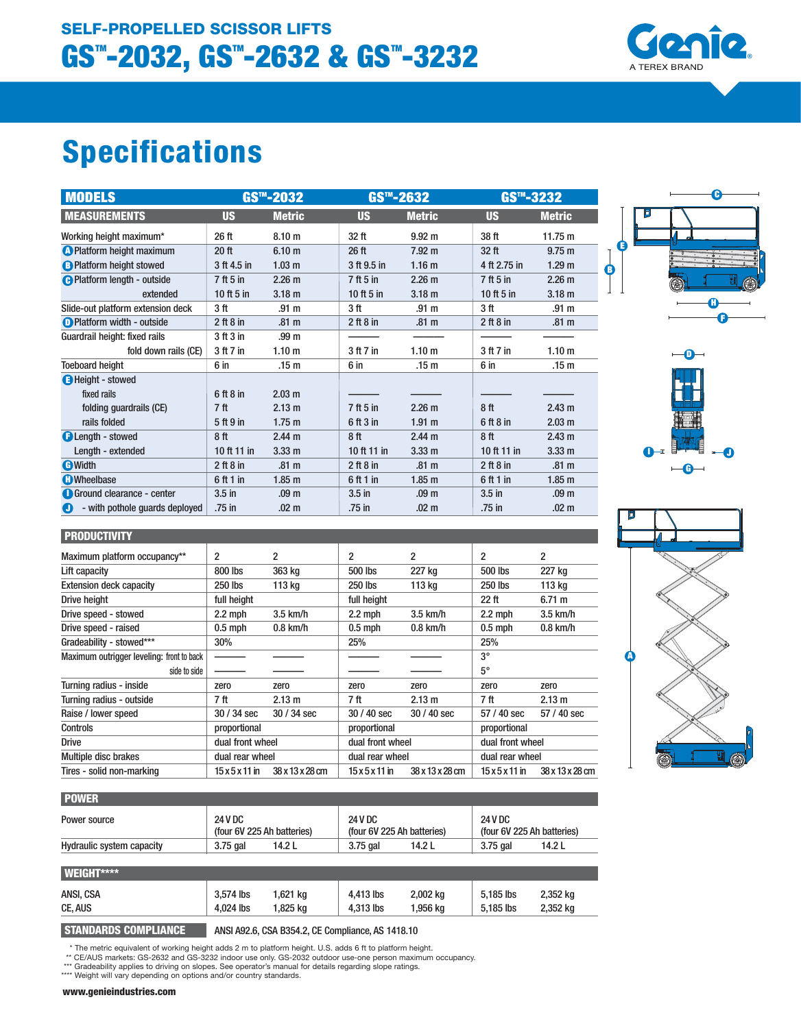# **Specifications**

| <b>MODELS</b>                       | GS™-2032        |                   |                  | $GSm - 2632$      |                 | $GS^{m}-3232$     |  |
|-------------------------------------|-----------------|-------------------|------------------|-------------------|-----------------|-------------------|--|
| <b>MEASUREMENTS</b>                 | <b>US</b>       | <b>Metric</b>     | <b>US</b>        | <b>Metric</b>     | <b>US</b>       | <b>Metric</b>     |  |
| Working height maximum*             | 26 ft           | 8.10 <sub>m</sub> | 32 ft            | $9.92 \text{ m}$  | 38 ft           | 11.75 m           |  |
| <b>C</b> Platform height maximum    | 20 ft           | 6.10 <sub>m</sub> | 26 <sub>ft</sub> | 7.92 <sub>m</sub> | 32 ft           | $9.75 \text{ m}$  |  |
| <b>B</b> Platform height stowed     | 3 ft 4.5 in     | 1.03 <sub>m</sub> | 3 ft 9.5 in      | 1.16 <sub>m</sub> | 4 ft 2.75 in    | 1.29 <sub>m</sub> |  |
| <b>O</b> Platform length - outside  | 7 ft 5 in       | 2.26 <sub>m</sub> | 7 ft 5 in        | 2.26 <sub>m</sub> | 7 ft 5 in       | 2.26 <sub>m</sub> |  |
| extended                            | 10 ft 5 in      | 3.18 <sub>m</sub> | 10 ft 5 in       | 3.18 <sub>m</sub> | 10 ft 5 in      | 3.18 <sub>m</sub> |  |
| Slide-out platform extension deck   | 3 ft            | .91 <sub>m</sub>  | 3 ft             | .91 <sub>m</sub>  | 3 ft            | .91 <sub>m</sub>  |  |
| <b>D</b> Platform width - outside   | $2$ ft $8$ in   | .81 <sub>m</sub>  | 2 ft 8 in        | .81 <sub>m</sub>  | 2 ft 8 in       | .81 <sub>m</sub>  |  |
| Guardrail height: fixed rails       | 3 ft 3 in       | .99 <sub>m</sub>  |                  |                   |                 |                   |  |
| fold down rails (CE)                | 3 ft 7 in       | 1.10 <sub>m</sub> | 3 ft 7 in        | 1.10 <sub>m</sub> | 3 ft 7 in       | 1.10 <sub>m</sub> |  |
| <b>Toeboard height</b>              | 6 in            | .15 <sub>m</sub>  | 6 in             | .15 m             | 6 in            | .15 m             |  |
| <b>B</b> Height - stowed            |                 |                   |                  |                   |                 |                   |  |
| fixed rails                         | 6ft8in          | 2.03 m            |                  |                   |                 |                   |  |
| folding guardrails (CE)             | 7 <sub>ft</sub> | 2.13 m            | 7 ft 5 in        | 2.26 <sub>m</sub> | 8ft             | 2.43 <sub>m</sub> |  |
| rails folded                        | 5 ft 9 in       | 1.75 <sub>m</sub> | 6 ft 3 in        | $1.91$ m          | 6 ft 8 in       | $2.03 \text{ m}$  |  |
| <b>BLength - stowed</b>             | 8ft             | 2.44 <sub>m</sub> | 8 <sup>ft</sup>  | 2.44 <sub>m</sub> | 8 <sub>ft</sub> | 2.43 m            |  |
| Length - extended                   | 10 ft 11 in     | 3.33 <sub>m</sub> | 10 ft 11 in      | 3.33 <sub>m</sub> | 10 ft 11 in     | 3.33 <sub>m</sub> |  |
| <b>G</b> Width                      | $2$ ft $8$ in   | .81 <sub>m</sub>  | $2$ ft $8$ in    | .81 <sub>m</sub>  | $2$ ft $8$ in   | .81 <sub>m</sub>  |  |
| <b>C</b> Wheelbase                  | 6 ft 1 in       | 1.85 <sub>m</sub> | 6 ft 1 in        | 1.85 <sub>m</sub> | 6 ft 1 in       | 1.85 <sub>m</sub> |  |
| Ground clearance - center           | $3.5$ in        | .09 <sub>m</sub>  | $3.5$ in         | .09 <sub>m</sub>  | $3.5$ in        | .09 <sub>m</sub>  |  |
| - with pothole quards deployed<br>O | .75 in          | .02 <sub>m</sub>  | .75 in           | .02 <sub>m</sub>  | .75 in          | .02 <sub>m</sub>  |  |

Maximum platform occupancy\*\*  $\begin{array}{ccc} \n\end{array}$  2 2 2 2 2 Lift capacity 800 lbs 363 kg 500 lbs 227 kg 500 lbs 227 kg Extension deck capacity 250 lbs 113 kg 250 lbs 113 kg 250 lbs 113 kg Drive height full height full height 22 ft 6.71 m Drive speed - stowed 2.2 mph 3.5 km/h 2.2 mph 3.5 km/h 2.2 mph 3.5 km/h Drive speed - raised 0.5 mph 0.8 km/h 0.5 mph 0.8 km/h 0.5 mph 0.8 km/h

Gradeability - stowed\*\*\* 30% 25% 25% 25% 25% Maximum outrigger leveling: front to back  $\overline{\phantom{a}}$  and  $\overline{\phantom{a}}$  and  $\overline{\phantom{a}}$  and  $\overline{\phantom{a}}$  and  $\overline{\phantom{a}}$  and  $\overline{\phantom{a}}$  and  $\overline{\phantom{a}}$  and  $\overline{\phantom{a}}$  and  $\overline{\phantom{a}}$  and  $\overline{\phantom{a}}$  and  $\overline{\phantom{a}}$  and  $\overline$ 



1001

**TEREX BRAND** 





|                           | side to side |                                              |                 |                                              |                 | $5^\circ$                                    |                 |
|---------------------------|--------------|----------------------------------------------|-----------------|----------------------------------------------|-----------------|----------------------------------------------|-----------------|
| Turning radius - inside   |              | zero                                         | zero            | zero                                         | zero            | zero                                         | zero            |
| Turning radius - outside  |              | 7 ft                                         | 2.13 m          | 7 ft                                         | 2.13 m          | 7 ft                                         | 2.13 m          |
| Raise / lower speed       |              | $30/34$ sec                                  | 30 / 34 sec     | $30/40$ sec                                  | $30/40$ sec     | 57 / 40 sec                                  | 57 / 40 sec     |
| Controls                  |              | proportional                                 |                 | proportional                                 |                 | proportional                                 |                 |
| <b>Drive</b>              |              | dual front wheel                             |                 | dual front wheel                             |                 | dual front wheel                             |                 |
| Multiple disc brakes      |              | dual rear wheel                              |                 | dual rear wheel                              |                 | dual rear wheel                              |                 |
| Tires - solid non-marking |              | $15 \times 5 \times 11$ in                   | 38 x 13 x 28 cm | $15 \times 5 \times 11$ in                   | 38 x 13 x 28 cm | $15 \times 5 \times 11$ in                   | 38 x 13 x 28 cm |
|                           |              |                                              |                 |                                              |                 |                                              |                 |
| <b>POWER</b>              |              |                                              |                 |                                              |                 |                                              |                 |
| Power source              |              | <b>24 V DC</b><br>(four 6V 225 Ah batteries) |                 | <b>24 V DC</b><br>(four 6V 225 Ah batteries) |                 | <b>24 V DC</b><br>(four 6V 225 Ah batteries) |                 |
| Hydraulic system capacity |              | $3.75$ gal                                   | 14.2 L          | 3.75 gal                                     | 14.2L           | $3.75$ gal                                   | 14.2 L          |
|                           |              |                                              |                 |                                              |                 |                                              |                 |

| <b>WEIGHT****</b> |           |          |           |          |           |          |
|-------------------|-----------|----------|-----------|----------|-----------|----------|
| ANSI, CSA         | 3.574 lbs | 1,621 kg | 4.413 lbs | 2,002 kg | 5.185 lbs | 2,352 kg |
| CE, AUS           | 4.024 lbs | 1.825 ka | 4.313 lbs | 1,956 ka | 5.185 lbs | 2,352 kg |

 **PRODUCTIVITY**

**STANDARDS COMPLIANCE** ANSI A92.6, CSA B354.2, CE Compliance, AS 1418.10

\* The metric equivalent of working height adds 2 m to platform height. U.S. adds 6 ft to platform height.<br>\*\* CE/AUS markets: GS-2632 and GS-3232 indoor use only. GS-2032 outdoor use-one person maximum occupancy.<br>\*\*\* Grade

\*\*\*\* Weight will vary depending on options and/or country standards.

**www.genieindustries.com**